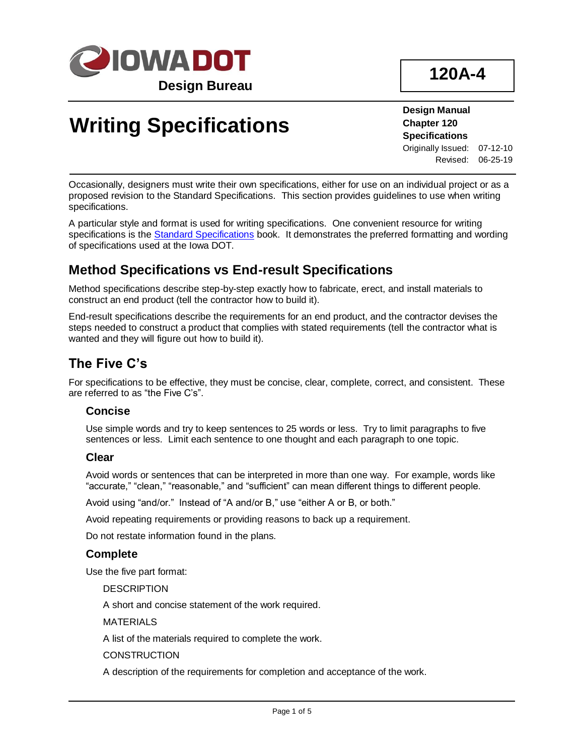

# **Writing Specifications**

**Design Manual Chapter 120 Specifications** Originally Issued: 07-12-10 Revised: 06-25-19

Occasionally, designers must write their own specifications, either for use on an individual project or as a proposed revision to the Standard Specifications. This section provides guidelines to use when writing specifications.

A particular style and format is used for writing specifications. One convenient resource for writing specifications is the **Standard Specifications book.** It demonstrates the preferred formatting and wording of specifications used at the Iowa DOT.

## **Method Specifications vs End-result Specifications**

Method specifications describe step-by-step exactly how to fabricate, erect, and install materials to construct an end product (tell the contractor how to build it).

End-result specifications describe the requirements for an end product, and the contractor devises the steps needed to construct a product that complies with stated requirements (tell the contractor what is wanted and they will figure out how to build it).

## **The Five C's**

For specifications to be effective, they must be concise, clear, complete, correct, and consistent. These are referred to as "the Five C's".

#### **Concise**

Use simple words and try to keep sentences to 25 words or less. Try to limit paragraphs to five sentences or less. Limit each sentence to one thought and each paragraph to one topic.

#### **Clear**

Avoid words or sentences that can be interpreted in more than one way. For example, words like "accurate," "clean," "reasonable," and "sufficient" can mean different things to different people.

Avoid using "and/or." Instead of "A and/or B," use "either A or B, or both."

Avoid repeating requirements or providing reasons to back up a requirement.

Do not restate information found in the plans.

#### **Complete**

Use the five part format:

**DESCRIPTION** 

A short and concise statement of the work required.

MATERIALS

A list of the materials required to complete the work.

**CONSTRUCTION** 

A description of the requirements for completion and acceptance of the work.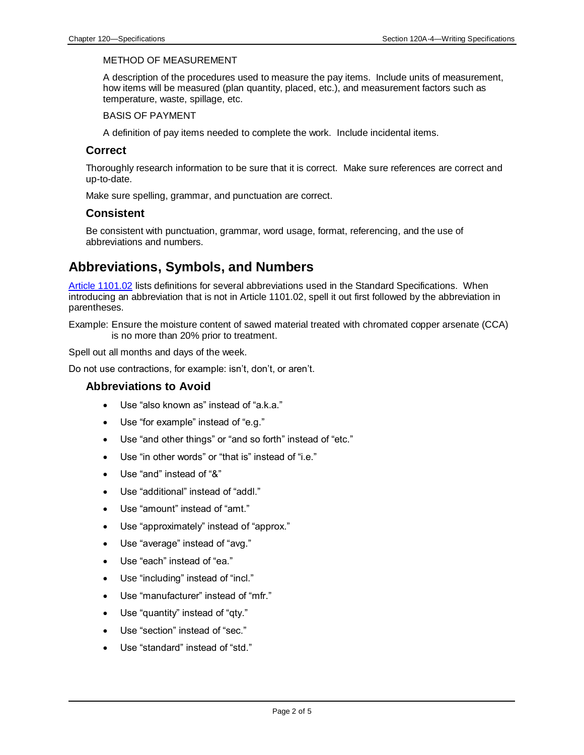#### METHOD OF MEASUREMENT

A description of the procedures used to measure the pay items. Include units of measurement, how items will be measured (plan quantity, placed, etc.), and measurement factors such as temperature, waste, spillage, etc.

BASIS OF PAYMENT

A definition of pay items needed to complete the work. Include incidental items.

#### **Correct**

Thoroughly research information to be sure that it is correct. Make sure references are correct and up-to-date.

Make sure spelling, grammar, and punctuation are correct.

#### **Consistent**

Be consistent with punctuation, grammar, word usage, format, referencing, and the use of abbreviations and numbers.

### **Abbreviations, Symbols, and Numbers**

[Article 1101.02](../../erl/current/GS/content/1101.htm#Section110102) lists definitions for several abbreviations used in the Standard Specifications. When introducing an abbreviation that is not in Article 1101.02, spell it out first followed by the abbreviation in parentheses.

Example: Ensure the moisture content of sawed material treated with chromated copper arsenate (CCA) is no more than 20% prior to treatment.

Spell out all months and days of the week.

Do not use contractions, for example: isn't, don't, or aren't.

#### **Abbreviations to Avoid**

- Use "also known as" instead of "a.k.a."
- Use "for example" instead of "e.g."
- Use "and other things" or "and so forth" instead of "etc."
- Use "in other words" or "that is" instead of "i.e."
- Use "and" instead of "&"
- Use "additional" instead of "addl."
- Use "amount" instead of "amt."
- Use "approximately" instead of "approx."
- Use "average" instead of "avg."
- Use "each" instead of "ea."
- Use "including" instead of "incl."
- Use "manufacturer" instead of "mfr."
- Use "quantity" instead of "qty."
- Use "section" instead of "sec."
- Use "standard" instead of "std."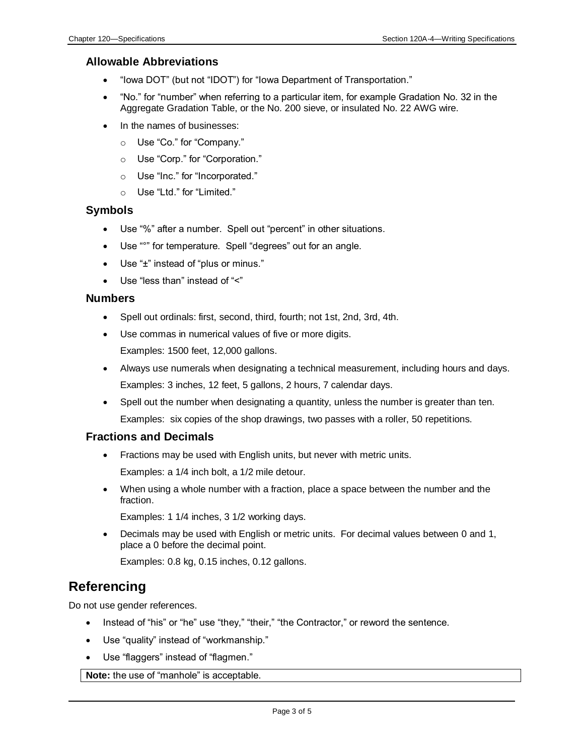#### **Allowable Abbreviations**

- "Iowa DOT" (but not "IDOT") for "Iowa Department of Transportation."
- "No." for "number" when referring to a particular item, for example Gradation No. 32 in the Aggregate Gradation Table, or the No. 200 sieve, or insulated No. 22 AWG wire.
- In the names of businesses:
	- o Use "Co." for "Company."
	- o Use "Corp." for "Corporation."
	- o Use "Inc." for "Incorporated."
	- o Use "Ltd." for "Limited."

#### **Symbols**

- Use "%" after a number. Spell out "percent" in other situations.
- Use "°" for temperature. Spell "degrees" out for an angle.
- Use "±" instead of "plus or minus."
- Use "less than" instead of "<"

#### **Numbers**

- Spell out ordinals: first, second, third, fourth; not 1st, 2nd, 3rd, 4th.
- Use commas in numerical values of five or more digits.

Examples: 1500 feet, 12,000 gallons.

- Always use numerals when designating a technical measurement, including hours and days. Examples: 3 inches, 12 feet, 5 gallons, 2 hours, 7 calendar days.
- Spell out the number when designating a quantity, unless the number is greater than ten. Examples: six copies of the shop drawings, two passes with a roller, 50 repetitions.

#### **Fractions and Decimals**

• Fractions may be used with English units, but never with metric units.

Examples: a 1/4 inch bolt, a 1/2 mile detour.

• When using a whole number with a fraction, place a space between the number and the fraction.

Examples: 1 1/4 inches, 3 1/2 working days.

• Decimals may be used with English or metric units. For decimal values between 0 and 1, place a 0 before the decimal point.

Examples: 0.8 kg, 0.15 inches, 0.12 gallons.

## **Referencing**

Do not use gender references.

- Instead of "his" or "he" use "they," "their," "the Contractor," or reword the sentence.
- Use "quality" instead of "workmanship."
- Use "flaggers" instead of "flagmen."

**Note:** the use of "manhole" is acceptable.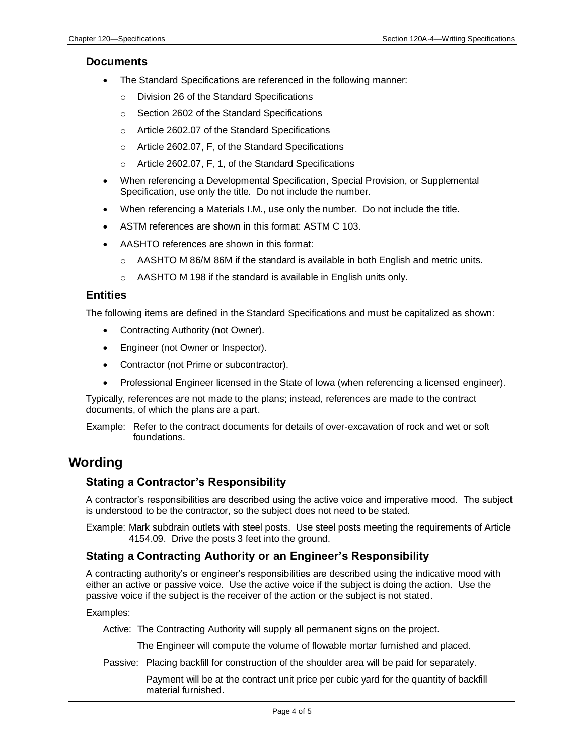#### **Documents**

- The Standard Specifications are referenced in the following manner:
	- o Division 26 of the Standard Specifications
	- o Section 2602 of the Standard Specifications
	- o Article 2602.07 of the Standard Specifications
	- o Article 2602.07, F, of the Standard Specifications
	- o Article 2602.07, F, 1, of the Standard Specifications
- When referencing a Developmental Specification, Special Provision, or Supplemental Specification, use only the title. Do not include the number.
- When referencing a Materials I.M., use only the number. Do not include the title.
- ASTM references are shown in this format: ASTM C 103.
- AASHTO references are shown in this format:
	- $\circ$  AASHTO M 86/M 86M if the standard is available in both English and metric units.
	- o AASHTO M 198 if the standard is available in English units only.

#### **Entities**

The following items are defined in the Standard Specifications and must be capitalized as shown:

- Contracting Authority (not Owner).
- Engineer (not Owner or Inspector).
- Contractor (not Prime or subcontractor).
- Professional Engineer licensed in the State of Iowa (when referencing a licensed engineer).

Typically, references are not made to the plans; instead, references are made to the contract documents, of which the plans are a part.

Example: Refer to the contract documents for details of over-excavation of rock and wet or soft foundations.

### **Wording**

#### **Stating a Contractor's Responsibility**

A contractor's responsibilities are described using the active voice and imperative mood. The subject is understood to be the contractor, so the subject does not need to be stated.

Example: Mark subdrain outlets with steel posts. Use steel posts meeting the requirements of Article 4154.09. Drive the posts 3 feet into the ground.

#### **Stating a Contracting Authority or an Engineer's Responsibility**

A contracting authority's or engineer's responsibilities are described using the indicative mood with either an active or passive voice. Use the active voice if the subject is doing the action. Use the passive voice if the subject is the receiver of the action or the subject is not stated.

Examples:

Active: The Contracting Authority will supply all permanent signs on the project.

The Engineer will compute the volume of flowable mortar furnished and placed.

Passive: Placing backfill for construction of the shoulder area will be paid for separately.

Payment will be at the contract unit price per cubic yard for the quantity of backfill material furnished.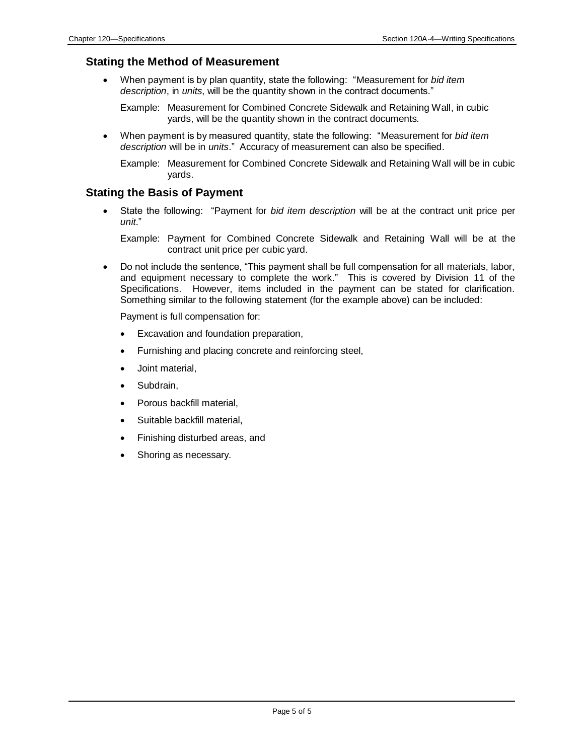#### **Stating the Method of Measurement**

• When payment is by plan quantity, state the following: "Measurement for *bid item description*, in *units*, will be the quantity shown in the contract documents."

Example: Measurement for Combined Concrete Sidewalk and Retaining Wall, in cubic yards, will be the quantity shown in the contract documents.

• When payment is by measured quantity, state the following: "Measurement for *bid item description* will be in *units*." Accuracy of measurement can also be specified.

Example: Measurement for Combined Concrete Sidewalk and Retaining Wall will be in cubic yards.

#### **Stating the Basis of Payment**

• State the following: "Payment for *bid item description* will be at the contract unit price per *unit*."

Example: Payment for Combined Concrete Sidewalk and Retaining Wall will be at the contract unit price per cubic yard.

• Do not include the sentence, "This payment shall be full compensation for all materials, labor, and equipment necessary to complete the work." This is covered by Division 11 of the Specifications. However, items included in the payment can be stated for clarification. Something similar to the following statement (for the example above) can be included:

Payment is full compensation for:

- Excavation and foundation preparation,
- Furnishing and placing concrete and reinforcing steel,
- Joint material,
- Subdrain,
- Porous backfill material,
- Suitable backfill material,
- Finishing disturbed areas, and
- Shoring as necessary.